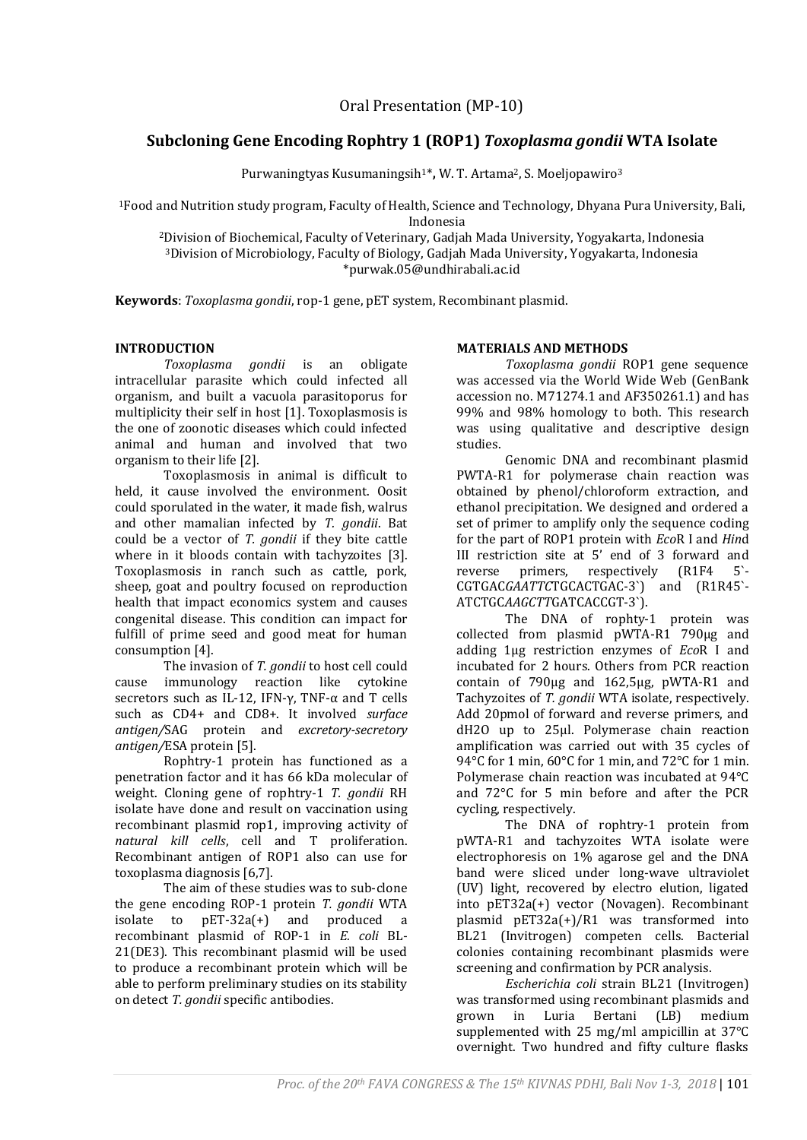# **Subcloning Gene Encoding Rophtry 1 (ROP1)** *Toxoplasma gondii* **WTA Isolate**

Purwaningtyas Kusumaningsih1\***,** W. T. Artama2, S. Moeljopawiro<sup>3</sup>

<sup>1</sup>Food and Nutrition study program, Faculty of Health, Science and Technology, Dhyana Pura University, Bali, Indonesia

<sup>2</sup>Division of Biochemical, Faculty of Veterinary, Gadjah Mada University, Yogyakarta, Indonesia <sup>3</sup>Division of Microbiology, Faculty of Biology, Gadjah Mada University, Yogyakarta, Indonesia \*purwak.05@undhirabali.ac.id

**Keywords**: *Toxoplasma gondii*, rop-1 gene, pET system, Recombinant plasmid.

## **INTRODUCTION**

*Toxoplasma gondii* is an obligate intracellular parasite which could infected all organism, and built a vacuola parasitoporus for multiplicity their self in host [1]. Toxoplasmosis is the one of zoonotic diseases which could infected animal and human and involved that two organism to their life [2].

Toxoplasmosis in animal is difficult to held, it cause involved the environment. Oosit could sporulated in the water, it made fish, walrus and other mamalian infected by *T. gondii*. Bat could be a vector of *T. gondii* if they bite cattle where in it bloods contain with tachyzoites [3]. Toxoplasmosis in ranch such as cattle, pork, sheep, goat and poultry focused on reproduction health that impact economics system and causes congenital disease. This condition can impact for fulfill of prime seed and good meat for human consumption [4].

The invasion of *T. gondii* to host cell could cause immunology reaction like cytokine secretors such as IL-12, IFN- $\gamma$ , TNF- $\alpha$  and T cells such as CD4+ and CD8+. It involved *surface antigen/*SAG protein and *excretory-secretory antigen/*ESA protein [5].

Rophtry-1 protein has functioned as a penetration factor and it has 66 kDa molecular of weight. Cloning gene of rophtry-1 *T. gondii* RH isolate have done and result on vaccination using recombinant plasmid rop1, improving activity of *natural kill cells*, cell and T proliferation. Recombinant antigen of ROP1 also can use for toxoplasma diagnosis [6,7].

The aim of these studies was to sub-clone the gene encoding ROP-1 protein *T. gondii* WTA isolate to pET-32a(+) and produced a recombinant plasmid of ROP-1 in *E. coli* BL-21(DE3). This recombinant plasmid will be used to produce a recombinant protein which will be able to perform preliminary studies on its stability on detect *T. gondii* specific antibodies.

### **MATERIALS AND METHODS**

*Toxoplasma gondii* ROP1 gene sequence was accessed via the World Wide Web (GenBank accession no. M71274.1 and AF350261.1) and has 99% and 98% homology to both. This research was using qualitative and descriptive design studies.

Genomic DNA and recombinant plasmid PWTA-R1 for polymerase chain reaction was obtained by phenol/chloroform extraction, and ethanol precipitation. We designed and ordered a set of primer to amplify only the sequence coding for the part of ROP1 protein with *Eco*R I and *Hin*d III restriction site at 5' end of 3 forward and reverse primers, respectively (R1F4 5`- CGTGAC*GAATTC*TGCACTGAC-3`) and (R1R45`- ATCTGC*AAGCTT*GATCACCGT-3`).

The DNA of rophty-1 protein was collected from plasmid pWTA-R1 790μg and adding 1μg restriction enzymes of *Eco*R I and incubated for 2 hours. Others from PCR reaction contain of 790μg and 162,5μg, pWTA-R1 and Tachyzoites of *T. gondii* WTA isolate, respectively. Add 20pmol of forward and reverse primers, and dH2O up to 25ul. Polymerase chain reaction amplification was carried out with 35 cycles of 94°C for 1 min, 60°C for 1 min, and 72°C for 1 min. Polymerase chain reaction was incubated at 94°C and 72°C for 5 min before and after the PCR cycling, respectively.

The DNA of rophtry-1 protein from pWTA-R1 and tachyzoites WTA isolate were electrophoresis on 1% agarose gel and the DNA band were sliced under long-wave ultraviolet (UV) light, recovered by electro elution, ligated into pET32a(+) vector (Novagen). Recombinant plasmid pET32a(+)/R1 was transformed into BL21 (Invitrogen) competen cells. Bacterial colonies containing recombinant plasmids were screening and confirmation by PCR analysis.

*Escherichia coli* strain BL21 (Invitrogen) was transformed using recombinant plasmids and grown in Luria Bertani (LB) medium supplemented with 25 mg/ml ampicillin at 37°C overnight. Two hundred and fifty culture flasks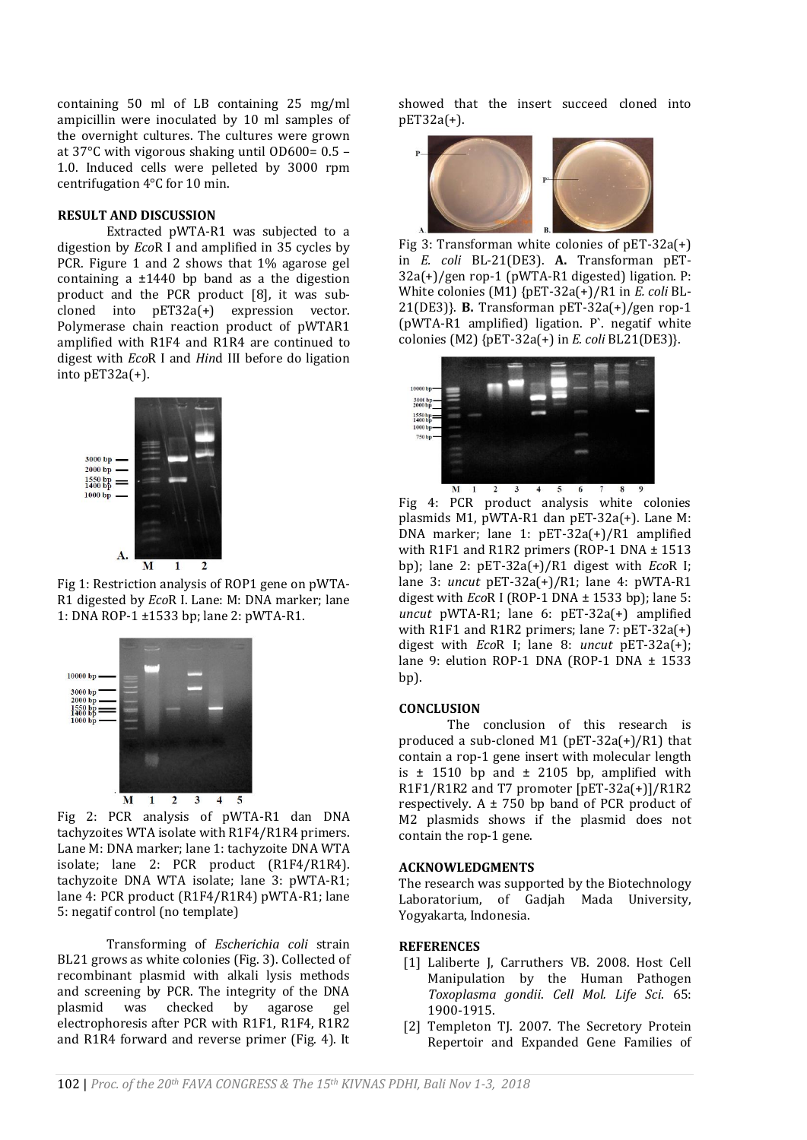containing 50 ml of LB containing 25 mg/ml ampicillin were inoculated by 10 ml samples of the overnight cultures. The cultures were grown at 37°C with vigorous shaking until OD600= 0.5 – 1.0. Induced cells were pelleted by 3000 rpm centrifugation 4°C for 10 min.

### **RESULT AND DISCUSSION**

Extracted pWTA-R1 was subjected to a digestion by *Eco*R I and amplified in 35 cycles by PCR. Figure 1 and 2 shows that 1% agarose gel containing a  $\pm$ 1440 bp band as a the digestion product and the PCR product [8], it was subcloned into pET32a(+) expression vector. Polymerase chain reaction product of pWTAR1 amplified with R1F4 and R1R4 are continued to digest with *Eco*R I and *Hin*d III before do ligation into pET32a(+).



Fig 1: Restriction analysis of ROP1 gene on pWTA-R1 digested by *Eco*R I. Lane: M: DNA marker; lane 1: DNA ROP-1 ±1533 bp; lane 2: pWTA-R1.



Fig 2: PCR analysis of pWTA-R1 dan DNA tachyzoites WTA isolate with R1F4/R1R4 primers. Lane M: DNA marker; lane 1: tachyzoite DNA WTA isolate; lane 2: PCR product (R1F4/R1R4). tachyzoite DNA WTA isolate; lane 3: pWTA-R1; lane 4: PCR product (R1F4/R1R4) pWTA-R1; lane 5: negatif control (no template)

Transforming of *Escherichia coli* strain BL21 grows as white colonies (Fig. 3). Collected of recombinant plasmid with alkali lysis methods and screening by PCR. The integrity of the DNA plasmid was checked by agarose gel electrophoresis after PCR with R1F1, R1F4, R1R2 and R1R4 forward and reverse primer (Fig. 4). It

showed that the insert succeed cloned into pET32a(+).



Fig 3: Transforman white colonies of pET-32a(+) in *E. coli* BL-21(DE3). **A.** Transforman pET-32a(+)/gen rop-1 (pWTA-R1 digested) ligation. P: White colonies (M1) {pET-32a(+)/R1 in *E. coli* BL-21(DE3)}. **B.** Transforman pET-32a(+)/gen rop-1 (pWTA-R1 amplified) ligation. P`. negatif white colonies (M2) {pET-32a(+) in *E. coli* BL21(DE3)}.



Fig 4: PCR product analysis white colonies plasmids M1, pWTA-R1 dan pET-32a(+). Lane M: DNA marker; lane 1: pET-32a(+)/R1 amplified with R1F1 and R1R2 primers (ROP-1 DNA ± 1513 bp); lane 2: pET-32a(+)/R1 digest with *Eco*R I; lane 3: *uncut* pET-32a(+)/R1; lane 4: pWTA-R1 digest with *Eco*R I (ROP-1 DNA ± 1533 bp); lane 5: *uncut* pWTA-R1; lane 6: pET-32a(+) amplified with R1F1 and R1R2 primers; lane 7: pET-32a(+) digest with *Eco*R I; lane 8: *uncut* pET-32a(+); lane 9: elution ROP-1 DNA (ROP-1 DNA ± 1533 bp).

### **CONCLUSION**

The conclusion of this research is produced a sub-cloned M1 (pET-32a(+)/R1) that contain a rop-1 gene insert with molecular length is  $\pm$  1510 bp and  $\pm$  2105 bp, amplified with R1F1/R1R2 and T7 promoter [pET-32a(+)]/R1R2 respectively.  $A \pm 750$  bp band of PCR product of M2 plasmids shows if the plasmid does not contain the rop-1 gene.

### **ACKNOWLEDGMENTS**

The research was supported by the Biotechnology Laboratorium, of Gadjah Mada University, Yogyakarta, Indonesia.

### **REFERENCES**

- [1] Laliberte J, Carruthers VB. 2008. Host Cell Manipulation by the Human Pathogen *Toxoplasma gondii*. *Cell Mol. Life Sci*. 65: 1900-1915.
- [2] Templeton TJ. 2007. The Secretory Protein Repertoir and Expanded Gene Families of